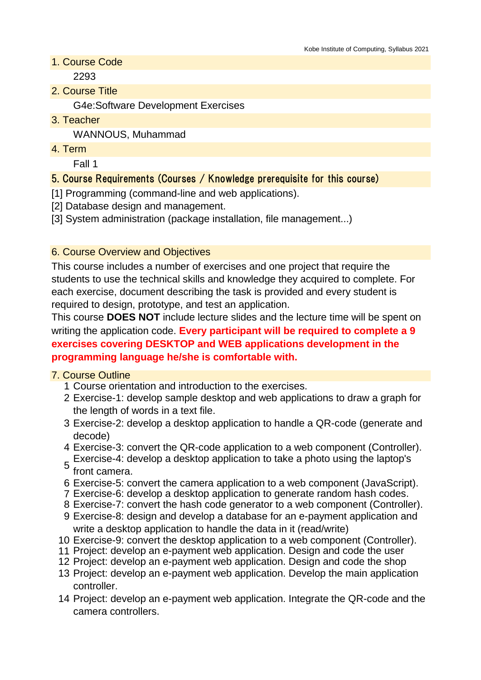1. Course Code

2293

2. Course Title

G4e:Software Development Exercises

3. Teacher

WANNOUS, Muhammad

4. Term

Fall 1

## 5. Course Requirements (Courses / Knowledge prerequisite for this course)

[1] Programming (command-line and web applications).

- [2] Database design and management.
- [3] System administration (package installation, file management...)

## 6. Course Overview and Objectives

This course includes a number of exercises and one project that require the students to use the technical skills and knowledge they acquired to complete. For each exercise, document describing the task is provided and every student is required to design, prototype, and test an application.

This course **DOES NOT** include lecture slides and the lecture time will be spent on writing the application code. **Every participant will be required to complete a 9 exercises covering DESKTOP and WEB applications development in the programming language he/she is comfortable with.**

## 7. Course Outline

- 1 Course orientation and introduction to the exercises.
- 2 Exercise-1: develop sample desktop and web applications to draw a graph for the length of words in a text file.
- 3 Exercise-2: develop a desktop application to handle a QR-code (generate and decode)
- 4 Exercise-3: convert the QR-code application to a web component (Controller).
- 5 Exercise-4: develop a desktop application to take a photo using the laptop's front camera.
- 6 Exercise-5: convert the camera application to a web component (JavaScript).
- 7 Exercise-6: develop a desktop application to generate random hash codes.
- 8 Exercise-7: convert the hash code generator to a web component (Controller).
- 9 Exercise-8: design and develop a database for an e-payment application and write a desktop application to handle the data in it (read/write)
- 10 Exercise-9: convert the desktop application to a web component (Controller).
- 11 Project: develop an e-payment web application. Design and code the user
- 12 Project: develop an e-payment web application. Design and code the shop
- 13 Project: develop an e-payment web application. Develop the main application controller.
- 14 Project: develop an e-payment web application. Integrate the QR-code and the camera controllers.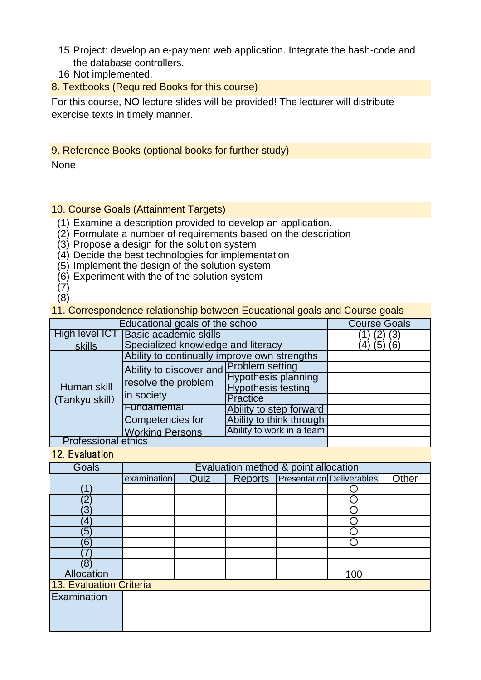- 15 Project: develop an e-payment web application. Integrate the hash-code and the database controllers.
- 16 Not implemented.
- 8. Textbooks (Required Books for this course)

For this course, NO lecture slides will be provided! The lecturer will distribute exercise texts in timely manner.

#### 9. Reference Books (optional books for further study)

None

### 10. Course Goals (Attainment Targets)

- (1) Examine a description provided to develop an application.
- (2) Formulate a number of requirements based on the description
- (3) Propose a design for the solution system
- (4) Decide the best technologies for implementation
- (5) Implement the design of the solution system
- (6) Experiment with the of the solution system
- (7) (8)

11. Correspondence relationship between Educational goals and Course goals

| Educational goals of the school | <b>Course Goals</b>                                                          |                            |  |
|---------------------------------|------------------------------------------------------------------------------|----------------------------|--|
| High level ICT                  | <b>Basic academic skills</b>                                                 | (3)                        |  |
| skills                          | Specialized knowledge and literacy                                           | (6)<br>(5)                 |  |
| Human skill<br>(Tankyu skill)   | Ability to continually improve own strengths                                 |                            |  |
|                                 | Ability to discover and Problem setting<br>resolve the problem<br>in society |                            |  |
|                                 |                                                                              | <b>Hypothesis planning</b> |  |
|                                 |                                                                              | <b>Hypothesis testing</b>  |  |
|                                 |                                                                              | <b>Practice</b>            |  |
|                                 | Fundamental                                                                  | Ability to step forward    |  |
|                                 | Competencies for                                                             | Ability to think through   |  |
|                                 | <b>Working Persons</b>                                                       | Ability to work in a team  |  |
| <b>Professional ethics</b>      |                                                                              |                            |  |

#### 12. Evaluation

| Goals                     | Evaluation method & point allocation |      |  |  |                                   |       |
|---------------------------|--------------------------------------|------|--|--|-----------------------------------|-------|
|                           | examination                          | Quiz |  |  | Reports Presentation Deliverables | Other |
| $^{\prime}$ 1 $^{\prime}$ |                                      |      |  |  |                                   |       |
| 2                         |                                      |      |  |  |                                   |       |
| $\overline{3}$            |                                      |      |  |  |                                   |       |
| 4                         |                                      |      |  |  |                                   |       |
| $\sqrt{5}$                |                                      |      |  |  |                                   |       |
| $6^{\circ}$               |                                      |      |  |  |                                   |       |
|                           |                                      |      |  |  |                                   |       |
| $\left(8\right)$          |                                      |      |  |  |                                   |       |
| Allocation                |                                      |      |  |  | 100                               |       |
| 13. Evaluation Criteria   |                                      |      |  |  |                                   |       |
| Examination               |                                      |      |  |  |                                   |       |
|                           |                                      |      |  |  |                                   |       |
|                           |                                      |      |  |  |                                   |       |
|                           |                                      |      |  |  |                                   |       |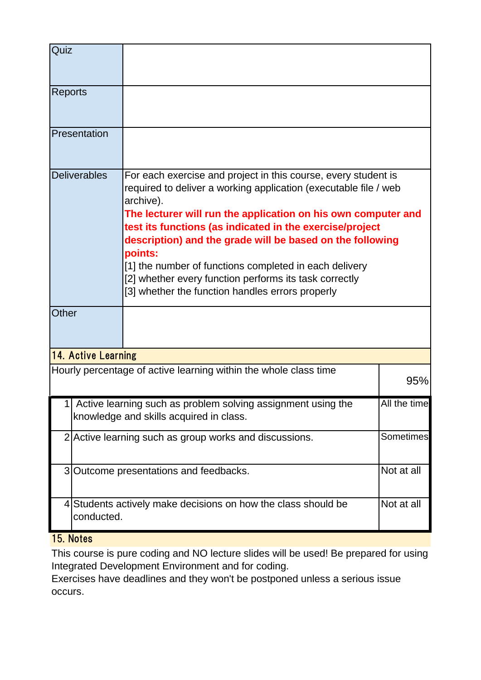| Quiz                                                                    |                                                                                                                                                                                                                                                                                                     |                                                                                                                                                                                                                                              |  |  |  |  |
|-------------------------------------------------------------------------|-----------------------------------------------------------------------------------------------------------------------------------------------------------------------------------------------------------------------------------------------------------------------------------------------------|----------------------------------------------------------------------------------------------------------------------------------------------------------------------------------------------------------------------------------------------|--|--|--|--|
| <b>Reports</b>                                                          |                                                                                                                                                                                                                                                                                                     |                                                                                                                                                                                                                                              |  |  |  |  |
|                                                                         | Presentation                                                                                                                                                                                                                                                                                        |                                                                                                                                                                                                                                              |  |  |  |  |
|                                                                         | <b>Deliverables</b><br>For each exercise and project in this course, every student is<br>required to deliver a working application (executable file / web<br>archive).<br>The lecturer will run the application on his own computer and<br>test its functions (as indicated in the exercise/project |                                                                                                                                                                                                                                              |  |  |  |  |
|                                                                         |                                                                                                                                                                                                                                                                                                     | description) and the grade will be based on the following<br>points:<br>[1] the number of functions completed in each delivery<br>[2] whether every function performs its task correctly<br>[3] whether the function handles errors properly |  |  |  |  |
| <b>Other</b>                                                            |                                                                                                                                                                                                                                                                                                     |                                                                                                                                                                                                                                              |  |  |  |  |
|                                                                         | 14. Active Learning                                                                                                                                                                                                                                                                                 |                                                                                                                                                                                                                                              |  |  |  |  |
| Hourly percentage of active learning within the whole class time<br>95% |                                                                                                                                                                                                                                                                                                     |                                                                                                                                                                                                                                              |  |  |  |  |
|                                                                         | 1 Active learning such as problem solving assignment using the<br>All the time<br>knowledge and skills acquired in class.                                                                                                                                                                           |                                                                                                                                                                                                                                              |  |  |  |  |
|                                                                         | Sometimes<br>2 Active learning such as group works and discussions.                                                                                                                                                                                                                                 |                                                                                                                                                                                                                                              |  |  |  |  |
|                                                                         | Not at all<br>3 Outcome presentations and feedbacks.                                                                                                                                                                                                                                                |                                                                                                                                                                                                                                              |  |  |  |  |
|                                                                         | Not at all<br>4 Students actively make decisions on how the class should be<br>conducted.                                                                                                                                                                                                           |                                                                                                                                                                                                                                              |  |  |  |  |

# 15. Notes

This course is pure coding and NO lecture slides will be used! Be prepared for using Integrated Development Environment and for coding.

Exercises have deadlines and they won't be postponed unless a serious issue occurs.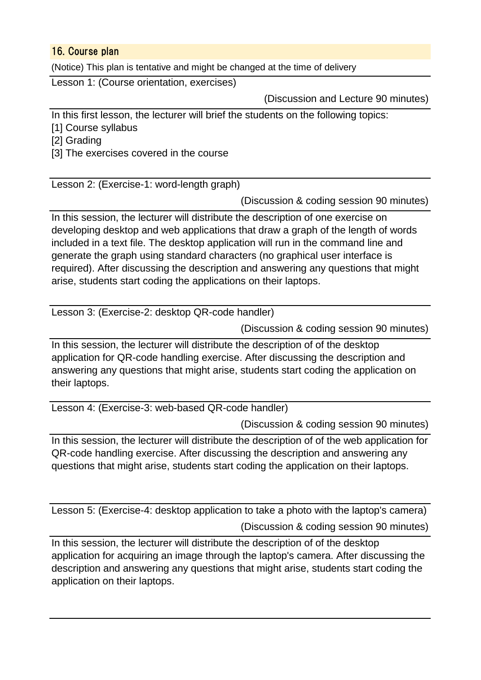## 16. Course plan

(Notice) This plan is tentative and might be changed at the time of delivery

Lesson 1: (Course orientation, exercises)

(Discussion and Lecture 90 minutes)

In this first lesson, the lecturer will brief the students on the following topics:

[1] Course syllabus

[2] Grading

[3] The exercises covered in the course

Lesson 2: (Exercise-1: word-length graph)

(Discussion & coding session 90 minutes)

In this session, the lecturer will distribute the description of one exercise on developing desktop and web applications that draw a graph of the length of words included in a text file. The desktop application will run in the command line and generate the graph using standard characters (no graphical user interface is required). After discussing the description and answering any questions that might arise, students start coding the applications on their laptops.

Lesson 3: (Exercise-2: desktop QR-code handler)

(Discussion & coding session 90 minutes)

In this session, the lecturer will distribute the description of of the desktop application for QR-code handling exercise. After discussing the description and answering any questions that might arise, students start coding the application on their laptops.

Lesson 4: (Exercise-3: web-based QR-code handler)

(Discussion & coding session 90 minutes)

In this session, the lecturer will distribute the description of of the web application for QR-code handling exercise. After discussing the description and answering any questions that might arise, students start coding the application on their laptops.

(Discussion & coding session 90 minutes) Lesson 5: (Exercise-4: desktop application to take a photo with the laptop's camera)

In this session, the lecturer will distribute the description of of the desktop application for acquiring an image through the laptop's camera. After discussing the description and answering any questions that might arise, students start coding the application on their laptops.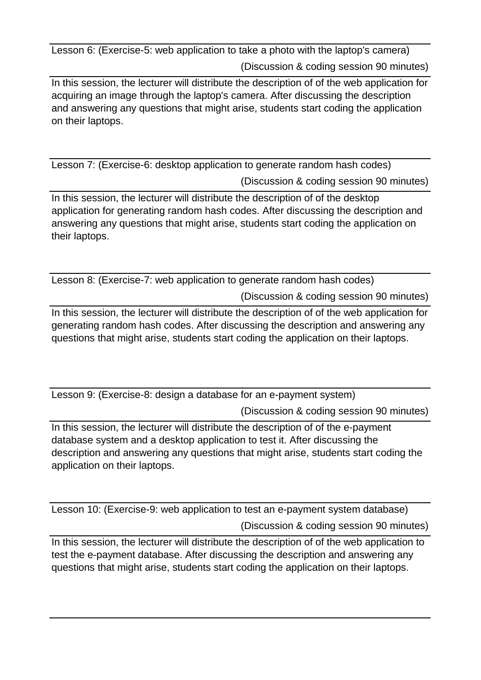(Discussion & coding session 90 minutes) Lesson 6: (Exercise-5: web application to take a photo with the laptop's camera)

In this session, the lecturer will distribute the description of of the web application for acquiring an image through the laptop's camera. After discussing the description and answering any questions that might arise, students start coding the application on their laptops.

(Discussion & coding session 90 minutes) Lesson 7: (Exercise-6: desktop application to generate random hash codes)

In this session, the lecturer will distribute the description of of the desktop application for generating random hash codes. After discussing the description and answering any questions that might arise, students start coding the application on their laptops.

(Discussion & coding session 90 minutes) Lesson 8: (Exercise-7: web application to generate random hash codes)

In this session, the lecturer will distribute the description of of the web application for generating random hash codes. After discussing the description and answering any questions that might arise, students start coding the application on their laptops.

Lesson 9: (Exercise-8: design a database for an e-payment system)

(Discussion & coding session 90 minutes)

In this session, the lecturer will distribute the description of of the e-payment database system and a desktop application to test it. After discussing the description and answering any questions that might arise, students start coding the application on their laptops.

(Discussion & coding session 90 minutes) Lesson 10: (Exercise-9: web application to test an e-payment system database)

In this session, the lecturer will distribute the description of of the web application to test the e-payment database. After discussing the description and answering any questions that might arise, students start coding the application on their laptops.